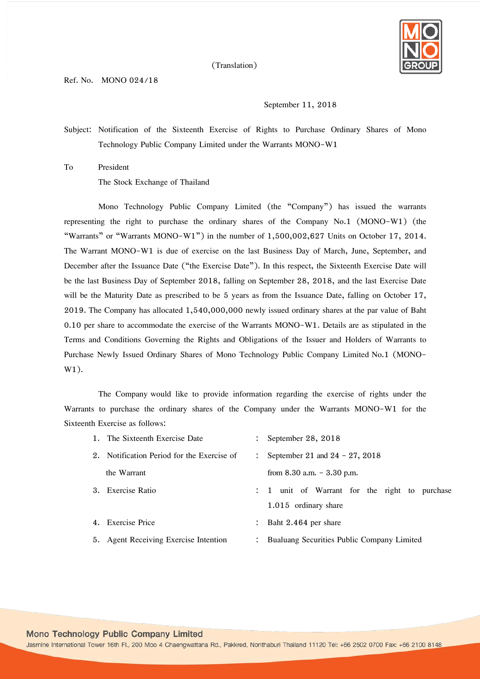

(Translation)

## September 11, 2018

Subject: Notification of the Sixteenth Exercise of Rights to Purchase Ordinary Shares of Mono Technology Public Company Limited under the Warrants MONO-W1

To President

The Stock Exchange of Thailand

Mono Technology Public Company Limited (the "Company") has issued the warrants representing the right to purchase the ordinary shares of the Company No.1 (MONO-W1) (the "Warrants" or "Warrants MONO-W1") in the number of 1,500,002,627 Units on October 17, 2014. The Warrant MONO-W1 is due of exercise on the last Business Day of March, June, September, and December after the Issuance Date ("the Exercise Date"). In this respect, the Sixteenth Exercise Date will be the last Business Day of September 2018, falling on September 28, 2018, and the last Exercise Date will be the Maturity Date as prescribed to be 5 years as from the Issuance Date, falling on October 17, 2019. The Company has allocated 1,540,000,000 newly issued ordinary shares at the par value of Baht 0.10 per share to accommodate the exercise of the Warrants MONO-W1. Details are as stipulated in the Terms and Conditions Governing the Rights and Obligations of the Issuer and Holders of Warrants to Purchase Newly Issued Ordinary Shares of Mono Technology Public Company Limited No.1 (MONO-W1).

The Company would like to provide information regarding the exercise of rights under the Warrants to purchase the ordinary shares of the Company under the Warrants MONO-W1 for the Sixteenth Exercise as follows:

|    | 1. The Sixteenth Exercise Date             | September 28, 2018                        |
|----|--------------------------------------------|-------------------------------------------|
|    | 2. Notification Period for the Exercise of | September 21 and $24 - 27$ , 2018         |
|    | the Warrant                                | from $8.30$ a.m. $-3.30$ p.m.             |
| 3. | <b>Exercise Ratio</b>                      | unit of Warrant for the right to purchase |
|    |                                            | 1.015 ordinary share                      |

4. Exercise Price : Baht 2.464 per share

5. Agent Receiving Exercise Intention : Bualuang Securities Public Company Limited

Mono Technology Public Company Limited

Jasmine International Tower 16th Fl., 200 Moo 4 Chaengwattana Rd., Pakkred, Nonthaburi Thailand 11120 Tel: +66 2502 0700 Fax: +66 2100 8148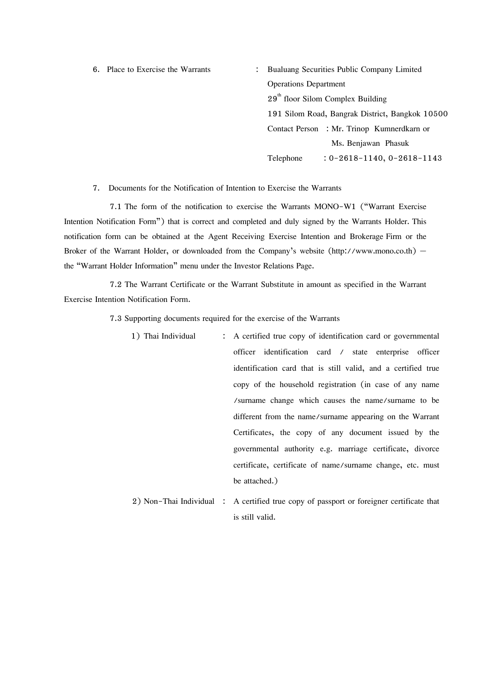6. Place to Exercise the Warrants : Bualuang Securities Public Company Limited Operations Department  $29<sup>th</sup>$  floor Silom Complex Building 191 Silom Road, Bangrak District, Bangkok 10500 Contact Person : Mr. Trinop Kumnerdkarn or Ms. Benjawan Phasuk Telephone : 0-2618-1140, 0-2618-1143

7. Documents for the Notification of Intention to Exercise the Warrants

7.1 The form of the notification to exercise the Warrants MONO-W1 ("Warrant Exercise Intention Notification Form") that is correct and completed and duly signed by the Warrants Holder. This notification form can be obtained at the Agent Receiving Exercise Intention and Brokerage Firm or the Broker of the Warrant Holder, or downloaded from the Company's website [\(http://www.mono.co.th\)](http://www.mono.co.th/) the "Warrant Holder Information" menu under the Investor Relations Page.

7.2 The Warrant Certificate or the Warrant Substitute in amount as specified in the Warrant Exercise Intention Notification Form.

7.3 Supporting documents required for the exercise of the Warrants

1) Thai Individual : A certified true copy of identification card or governmental officer identification card / state enterprise officer identification card that is still valid, and a certified true copy of the household registration (in case of any name /surname change which causes the name/surname to be different from the name/surname appearing on the Warrant Certificates, the copy of any document issued by the governmental authority e.g. marriage certificate, divorce certificate, certificate of name/surname change, etc. must be attached.) 2) Non-Thai Individual : A certified true copy of passport or foreigner certificate that

is still valid.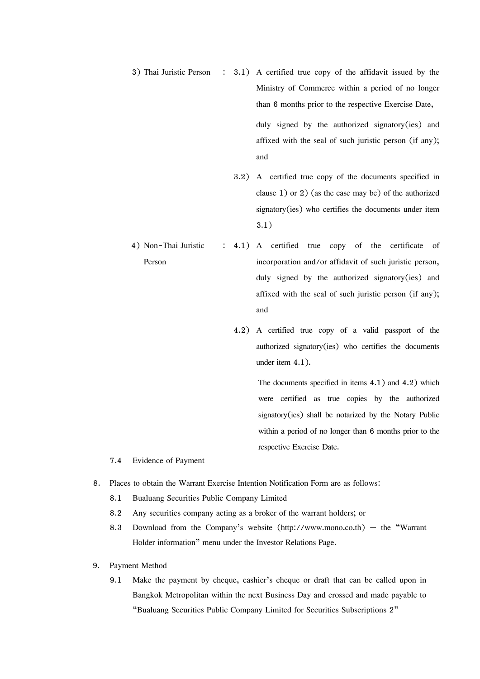- 3) Thai Juristic Person : 3.1) A certified true copy of the affidavit issued by the Ministry of Commerce within a period of no longer than 6 months prior to the respective Exercise Date, duly signed by the authorized signatory(ies) and affixed with the seal of such juristic person (if any); and
	- 3.2) A certified true copy of the documents specified in clause 1) or 2) (as the case may be) of the authorized signatory(ies) who certifies the documents under item 3.1)
- 4) Non-Thai Juristic Person : 4.1) A certified true copy of the certificate of incorporation and/or affidavit of such juristic person, duly signed by the authorized signatory(ies) and affixed with the seal of such juristic person (if any); and
	- 4.2) A certified true copy of a valid passport of the authorized signatory(ies) who certifies the documents under item 4.1).

The documents specified in items 4.1) and 4.2) which were certified as true copies by the authorized signatory(ies) shall be notarized by the Notary Public within a period of no longer than 6 months prior to the respective Exercise Date.

- 7.4 Evidence of Payment
- 8. Places to obtain the Warrant Exercise Intention Notification Form are as follows:
	- 8.1 Bualuang Securities Public Company Limited
	- 8.2 Any securities company acting as a broker of the warrant holders; or
	- 8.3 Download from the Company's website [\(http://www.mono.co.th\)](http://www.mono.co.th/) the "Warrant Holder information" menu under the Investor Relations Page.
- 9. Payment Method
	- 9.1 Make the payment by cheque, cashier's cheque or draft that can be called upon in Bangkok Metropolitan within the next Business Day and crossed and made payable to "Bualuang Securities Public Company Limited for Securities Subscriptions 2"